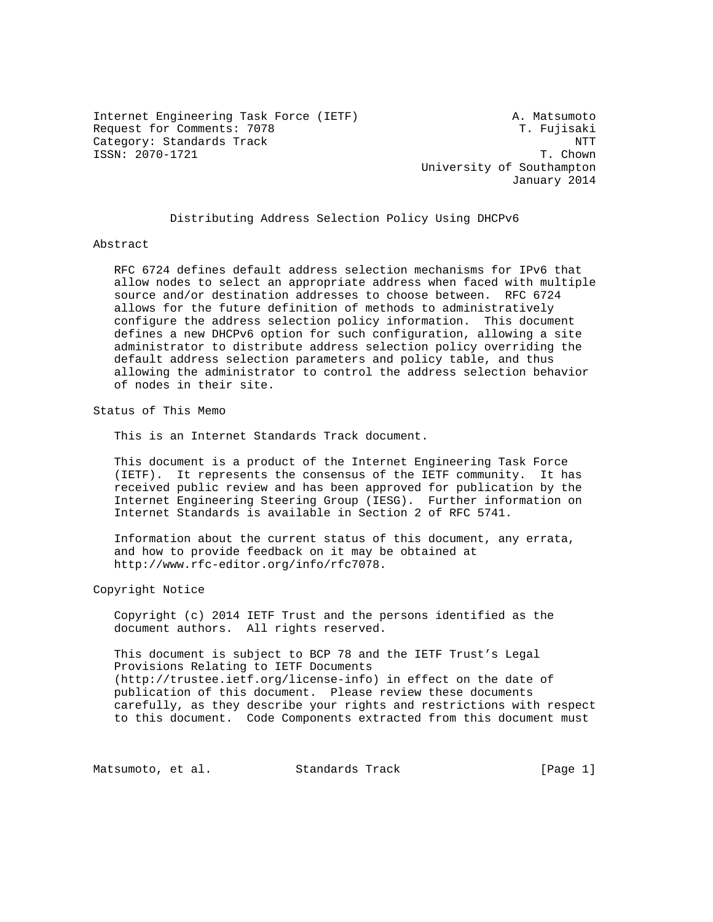Internet Engineering Task Force (IETF) A. Matsumoto Request for Comments: 7078 T. Fujisaki Category: Standards Track  $\overline{N}$ ISSN: 2070-1721 T. Chown

 University of Southampton January 2014

Distributing Address Selection Policy Using DHCPv6

### Abstract

 RFC 6724 defines default address selection mechanisms for IPv6 that allow nodes to select an appropriate address when faced with multiple source and/or destination addresses to choose between. RFC 6724 allows for the future definition of methods to administratively configure the address selection policy information. This document defines a new DHCPv6 option for such configuration, allowing a site administrator to distribute address selection policy overriding the default address selection parameters and policy table, and thus allowing the administrator to control the address selection behavior of nodes in their site.

Status of This Memo

This is an Internet Standards Track document.

 This document is a product of the Internet Engineering Task Force (IETF). It represents the consensus of the IETF community. It has received public review and has been approved for publication by the Internet Engineering Steering Group (IESG). Further information on Internet Standards is available in Section 2 of RFC 5741.

 Information about the current status of this document, any errata, and how to provide feedback on it may be obtained at http://www.rfc-editor.org/info/rfc7078.

Copyright Notice

 Copyright (c) 2014 IETF Trust and the persons identified as the document authors. All rights reserved.

 This document is subject to BCP 78 and the IETF Trust's Legal Provisions Relating to IETF Documents (http://trustee.ietf.org/license-info) in effect on the date of publication of this document. Please review these documents carefully, as they describe your rights and restrictions with respect to this document. Code Components extracted from this document must

Matsumoto, et al. Standards Track [Page 1]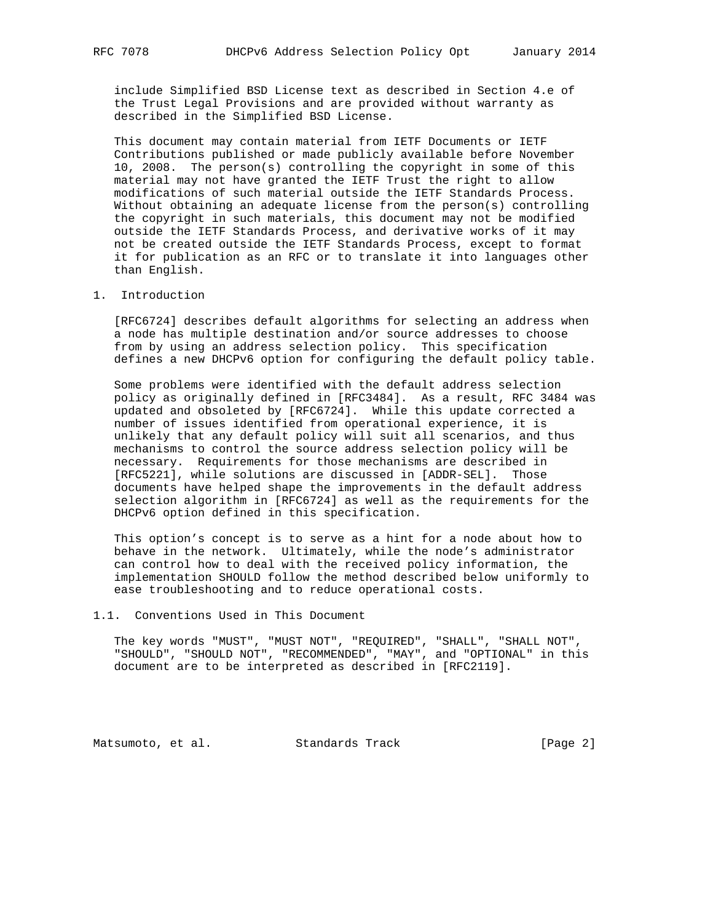include Simplified BSD License text as described in Section 4.e of the Trust Legal Provisions and are provided without warranty as described in the Simplified BSD License.

 This document may contain material from IETF Documents or IETF Contributions published or made publicly available before November 10, 2008. The person(s) controlling the copyright in some of this material may not have granted the IETF Trust the right to allow modifications of such material outside the IETF Standards Process. Without obtaining an adequate license from the person(s) controlling the copyright in such materials, this document may not be modified outside the IETF Standards Process, and derivative works of it may not be created outside the IETF Standards Process, except to format it for publication as an RFC or to translate it into languages other than English.

### 1. Introduction

 [RFC6724] describes default algorithms for selecting an address when a node has multiple destination and/or source addresses to choose from by using an address selection policy. This specification defines a new DHCPv6 option for configuring the default policy table.

 Some problems were identified with the default address selection policy as originally defined in [RFC3484]. As a result, RFC 3484 was updated and obsoleted by [RFC6724]. While this update corrected a number of issues identified from operational experience, it is unlikely that any default policy will suit all scenarios, and thus mechanisms to control the source address selection policy will be necessary. Requirements for those mechanisms are described in [RFC5221], while solutions are discussed in [ADDR-SEL]. Those documents have helped shape the improvements in the default address selection algorithm in [RFC6724] as well as the requirements for the DHCPv6 option defined in this specification.

 This option's concept is to serve as a hint for a node about how to behave in the network. Ultimately, while the node's administrator can control how to deal with the received policy information, the implementation SHOULD follow the method described below uniformly to ease troubleshooting and to reduce operational costs.

### 1.1. Conventions Used in This Document

 The key words "MUST", "MUST NOT", "REQUIRED", "SHALL", "SHALL NOT", "SHOULD", "SHOULD NOT", "RECOMMENDED", "MAY", and "OPTIONAL" in this document are to be interpreted as described in [RFC2119].

Matsumoto, et al. Standards Track [Page 2]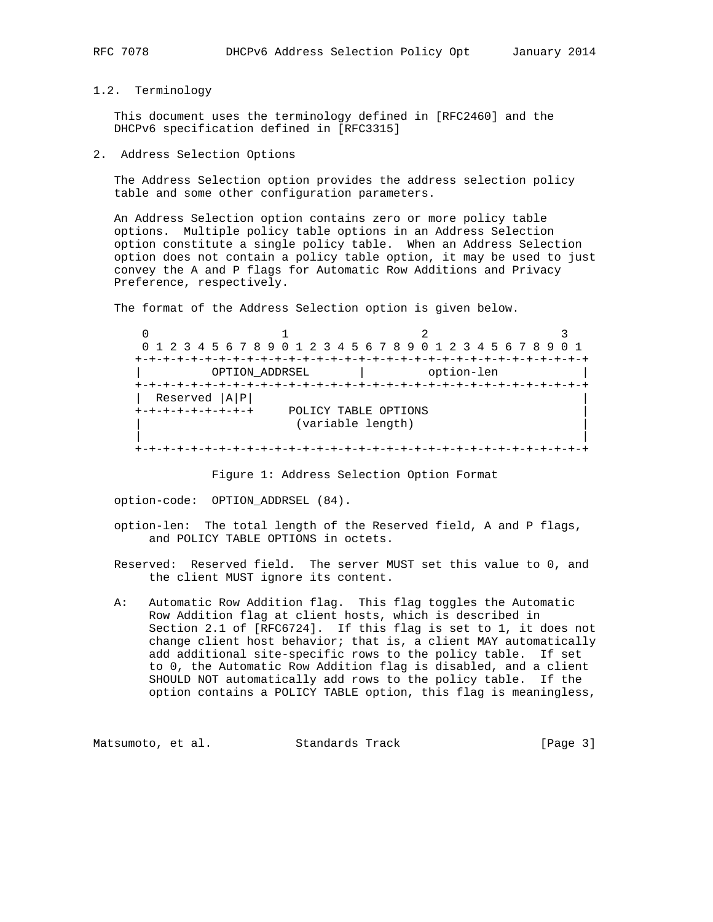### 1.2. Terminology

 This document uses the terminology defined in [RFC2460] and the DHCPv6 specification defined in [RFC3315]

2. Address Selection Options

 The Address Selection option provides the address selection policy table and some other configuration parameters.

 An Address Selection option contains zero or more policy table options. Multiple policy table options in an Address Selection option constitute a single policy table. When an Address Selection option does not contain a policy table option, it may be used to just convey the A and P flags for Automatic Row Additions and Privacy Preference, respectively.

The format of the Address Selection option is given below.

 $0$  1 2 3 0 1 2 3 4 5 6 7 8 9 0 1 2 3 4 5 6 7 8 9 0 1 2 3 4 5 6 7 8 9 0 1 +-+-+-+-+-+-+-+-+-+-+-+-+-+-+-+-+-+-+-+-+-+-+-+-+-+-+-+-+-+-+-+-+ | OPTION\_ADDRSEL | option-len | +-+-+-+-+-+-+-+-+-+-+-+-+-+-+-+-+-+-+-+-+-+-+-+-+-+-+-+-+-+-+-+-+ | Reserved |A|P| | +-+-+-+-+-+-+-+-+ POLICY TABLE OPTIONS | (variable length) | | +-+-+-+-+-+-+-+-+-+-+-+-+-+-+-+-+-+-+-+-+-+-+-+-+-+-+-+-+-+-+-+-+

Figure 1: Address Selection Option Format

option-code: OPTION\_ADDRSEL (84).

- option-len: The total length of the Reserved field, A and P flags, and POLICY TABLE OPTIONS in octets.
- Reserved: Reserved field. The server MUST set this value to 0, and the client MUST ignore its content.
- A: Automatic Row Addition flag. This flag toggles the Automatic Row Addition flag at client hosts, which is described in Section 2.1 of [RFC6724]. If this flag is set to 1, it does not change client host behavior; that is, a client MAY automatically add additional site-specific rows to the policy table. If set to 0, the Automatic Row Addition flag is disabled, and a client SHOULD NOT automatically add rows to the policy table. If the option contains a POLICY TABLE option, this flag is meaningless,

Matsumoto, et al. Standards Track [Page 3]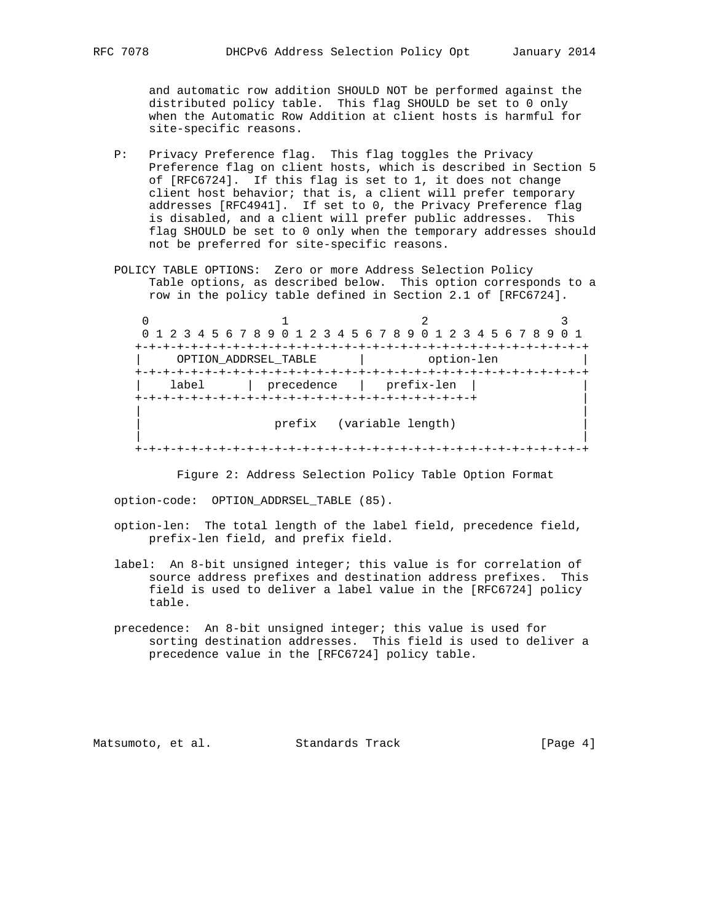and automatic row addition SHOULD NOT be performed against the distributed policy table. This flag SHOULD be set to 0 only when the Automatic Row Addition at client hosts is harmful for site-specific reasons.

- P: Privacy Preference flag. This flag toggles the Privacy Preference flag on client hosts, which is described in Section 5 of [RFC6724]. If this flag is set to 1, it does not change client host behavior; that is, a client will prefer temporary addresses [RFC4941]. If set to 0, the Privacy Preference flag is disabled, and a client will prefer public addresses. This flag SHOULD be set to 0 only when the temporary addresses should not be preferred for site-specific reasons.
- POLICY TABLE OPTIONS: Zero or more Address Selection Policy Table options, as described below. This option corresponds to a row in the policy table defined in Section 2.1 of [RFC6724].

 $0$  1 2 3 0 1 2 3 4 5 6 7 8 9 0 1 2 3 4 5 6 7 8 9 0 1 2 3 4 5 6 7 8 9 0 1 +-+-+-+-+-+-+-+-+-+-+-+-+-+-+-+-+-+-+-+-+-+-+-+-+-+-+-+-+-+-+-+-+ | OPTION\_ADDRSEL\_TABLE | option-len | +-+-+-+-+-+-+-+-+-+-+-+-+-+-+-+-+-+-+-+-+-+-+-+-+-+-+-+-+-+-+-+-+ | label | precedence | prefix-len | | +-+-+-+-+-+-+-+-+-+-+-+-+-+-+-+-+-+-+-+-+-+-+-+-+ | | | prefix (variable length) | | +-+-+-+-+-+-+-+-+-+-+-+-+-+-+-+-+-+-+-+-+-+-+-+-+-+-+-+-+-+-+-+-+

Figure 2: Address Selection Policy Table Option Format

option-code: OPTION\_ADDRSEL\_TABLE (85).

- option-len: The total length of the label field, precedence field, prefix-len field, and prefix field.
- label: An 8-bit unsigned integer; this value is for correlation of source address prefixes and destination address prefixes. This field is used to deliver a label value in the [RFC6724] policy table.
- precedence: An 8-bit unsigned integer; this value is used for sorting destination addresses. This field is used to deliver a precedence value in the [RFC6724] policy table.

Matsumoto, et al. Standards Track [Page 4]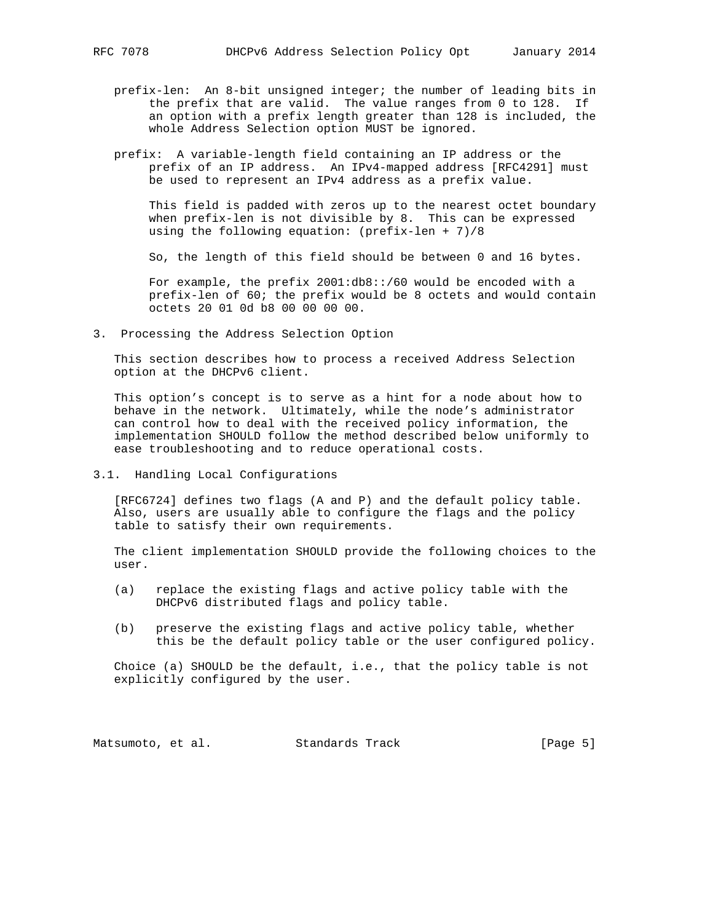- prefix-len: An 8-bit unsigned integer; the number of leading bits in the prefix that are valid. The value ranges from 0 to 128. If an option with a prefix length greater than 128 is included, the whole Address Selection option MUST be ignored.
- prefix: A variable-length field containing an IP address or the prefix of an IP address. An IPv4-mapped address [RFC4291] must be used to represent an IPv4 address as a prefix value.

 This field is padded with zeros up to the nearest octet boundary when prefix-len is not divisible by 8. This can be expressed using the following equation: (prefix-len + 7)/8

So, the length of this field should be between 0 and 16 bytes.

 For example, the prefix 2001:db8::/60 would be encoded with a prefix-len of 60; the prefix would be 8 octets and would contain octets 20 01 0d b8 00 00 00 00.

3. Processing the Address Selection Option

 This section describes how to process a received Address Selection option at the DHCPv6 client.

 This option's concept is to serve as a hint for a node about how to behave in the network. Ultimately, while the node's administrator can control how to deal with the received policy information, the implementation SHOULD follow the method described below uniformly to ease troubleshooting and to reduce operational costs.

3.1. Handling Local Configurations

 [RFC6724] defines two flags (A and P) and the default policy table. Also, users are usually able to configure the flags and the policy table to satisfy their own requirements.

 The client implementation SHOULD provide the following choices to the user.

- (a) replace the existing flags and active policy table with the DHCPv6 distributed flags and policy table.
- (b) preserve the existing flags and active policy table, whether this be the default policy table or the user configured policy.

 Choice (a) SHOULD be the default, i.e., that the policy table is not explicitly configured by the user.

Matsumoto, et al. Standards Track [Page 5]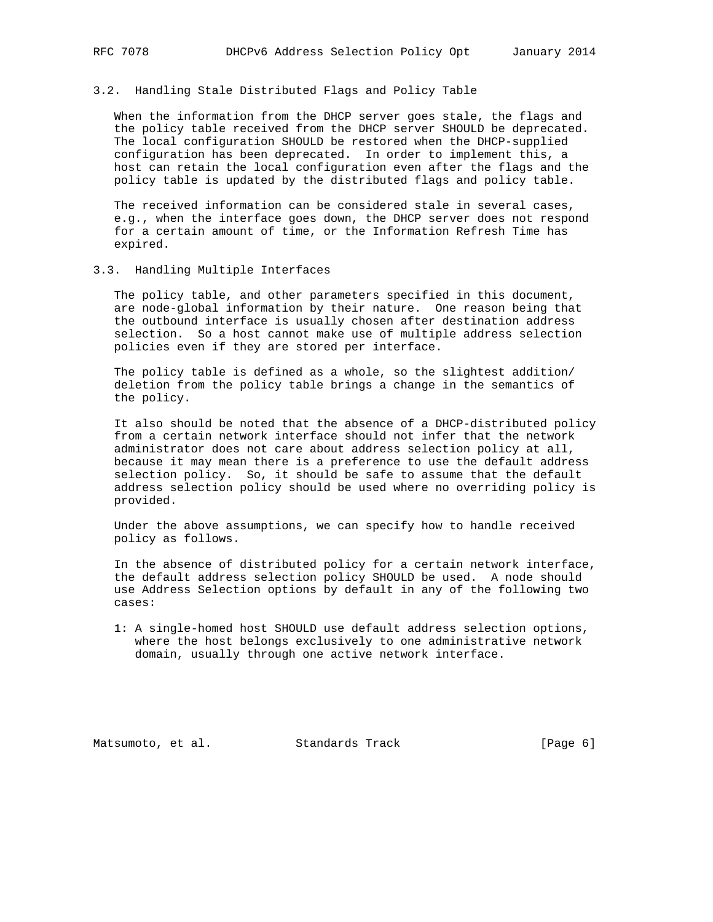# 3.2. Handling Stale Distributed Flags and Policy Table

 When the information from the DHCP server goes stale, the flags and the policy table received from the DHCP server SHOULD be deprecated. The local configuration SHOULD be restored when the DHCP-supplied configuration has been deprecated. In order to implement this, a host can retain the local configuration even after the flags and the policy table is updated by the distributed flags and policy table.

 The received information can be considered stale in several cases, e.g., when the interface goes down, the DHCP server does not respond for a certain amount of time, or the Information Refresh Time has expired.

3.3. Handling Multiple Interfaces

 The policy table, and other parameters specified in this document, are node-global information by their nature. One reason being that the outbound interface is usually chosen after destination address selection. So a host cannot make use of multiple address selection policies even if they are stored per interface.

 The policy table is defined as a whole, so the slightest addition/ deletion from the policy table brings a change in the semantics of the policy.

 It also should be noted that the absence of a DHCP-distributed policy from a certain network interface should not infer that the network administrator does not care about address selection policy at all, because it may mean there is a preference to use the default address selection policy. So, it should be safe to assume that the default address selection policy should be used where no overriding policy is provided.

 Under the above assumptions, we can specify how to handle received policy as follows.

 In the absence of distributed policy for a certain network interface, the default address selection policy SHOULD be used. A node should use Address Selection options by default in any of the following two cases:

 1: A single-homed host SHOULD use default address selection options, where the host belongs exclusively to one administrative network domain, usually through one active network interface.

Matsumoto, et al. Standards Track [Page 6]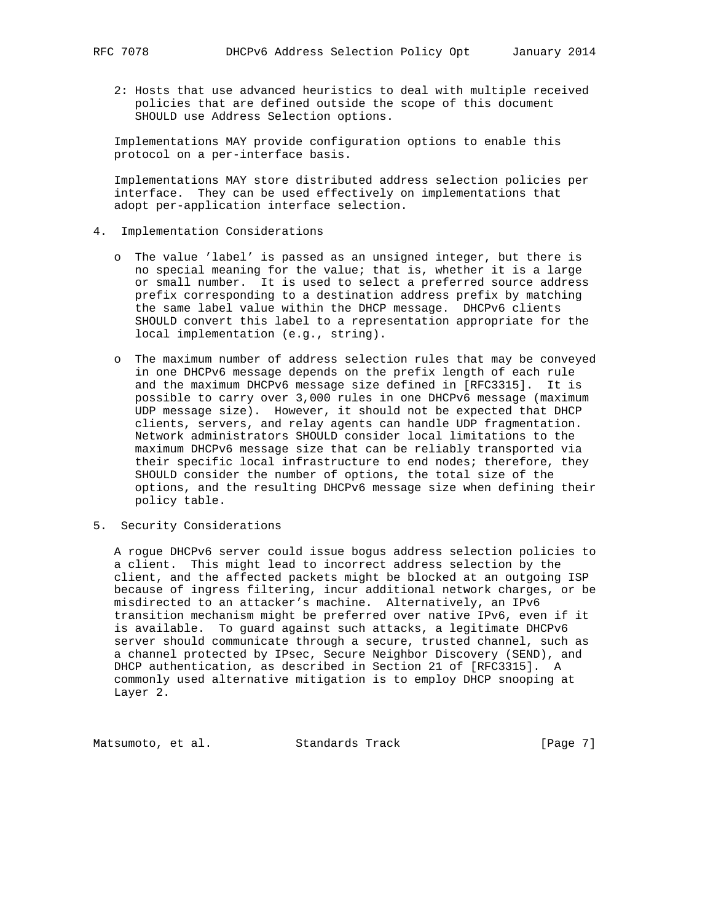2: Hosts that use advanced heuristics to deal with multiple received policies that are defined outside the scope of this document SHOULD use Address Selection options.

 Implementations MAY provide configuration options to enable this protocol on a per-interface basis.

 Implementations MAY store distributed address selection policies per interface. They can be used effectively on implementations that adopt per-application interface selection.

#### 4. Implementation Considerations

- o The value 'label' is passed as an unsigned integer, but there is no special meaning for the value; that is, whether it is a large or small number. It is used to select a preferred source address prefix corresponding to a destination address prefix by matching the same label value within the DHCP message. DHCPv6 clients SHOULD convert this label to a representation appropriate for the local implementation (e.g., string).
- o The maximum number of address selection rules that may be conveyed in one DHCPv6 message depends on the prefix length of each rule and the maximum DHCPv6 message size defined in [RFC3315]. It is possible to carry over 3,000 rules in one DHCPv6 message (maximum UDP message size). However, it should not be expected that DHCP clients, servers, and relay agents can handle UDP fragmentation. Network administrators SHOULD consider local limitations to the maximum DHCPv6 message size that can be reliably transported via their specific local infrastructure to end nodes; therefore, they SHOULD consider the number of options, the total size of the options, and the resulting DHCPv6 message size when defining their policy table.
- 5. Security Considerations

 A rogue DHCPv6 server could issue bogus address selection policies to a client. This might lead to incorrect address selection by the client, and the affected packets might be blocked at an outgoing ISP because of ingress filtering, incur additional network charges, or be misdirected to an attacker's machine. Alternatively, an IPv6 transition mechanism might be preferred over native IPv6, even if it is available. To guard against such attacks, a legitimate DHCPv6 server should communicate through a secure, trusted channel, such as a channel protected by IPsec, Secure Neighbor Discovery (SEND), and DHCP authentication, as described in Section 21 of [RFC3315]. A commonly used alternative mitigation is to employ DHCP snooping at Layer 2.

Matsumoto, et al. Standards Track [Page 7]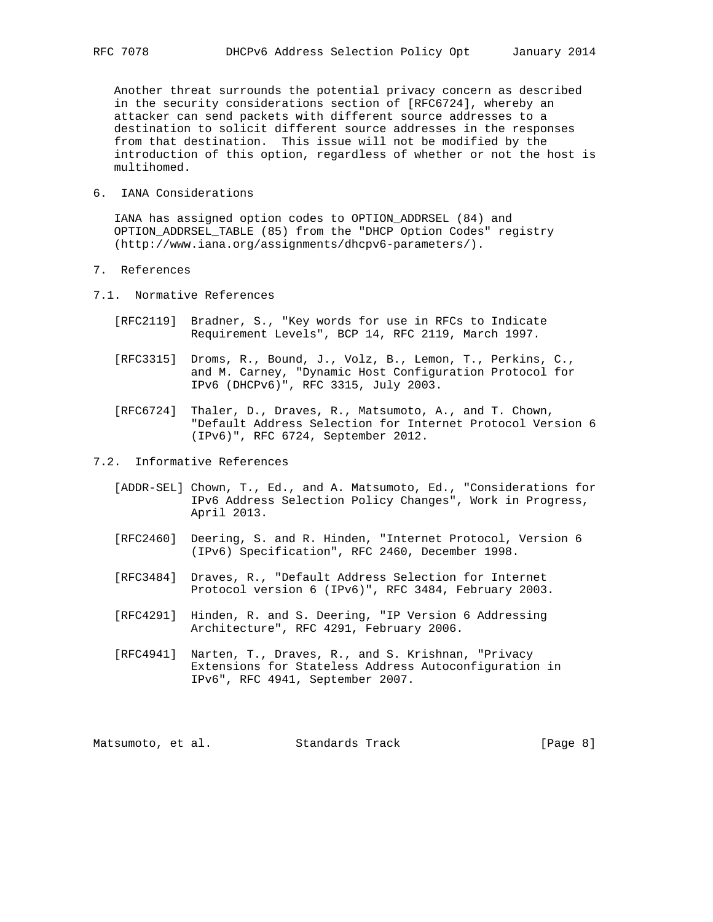Another threat surrounds the potential privacy concern as described in the security considerations section of [RFC6724], whereby an attacker can send packets with different source addresses to a destination to solicit different source addresses in the responses from that destination. This issue will not be modified by the introduction of this option, regardless of whether or not the host is multihomed.

6. IANA Considerations

 IANA has assigned option codes to OPTION\_ADDRSEL (84) and OPTION\_ADDRSEL\_TABLE (85) from the "DHCP Option Codes" registry (http://www.iana.org/assignments/dhcpv6-parameters/).

- 7. References
- 7.1. Normative References
	- [RFC2119] Bradner, S., "Key words for use in RFCs to Indicate Requirement Levels", BCP 14, RFC 2119, March 1997.
	- [RFC3315] Droms, R., Bound, J., Volz, B., Lemon, T., Perkins, C., and M. Carney, "Dynamic Host Configuration Protocol for IPv6 (DHCPv6)", RFC 3315, July 2003.
	- [RFC6724] Thaler, D., Draves, R., Matsumoto, A., and T. Chown, "Default Address Selection for Internet Protocol Version 6 (IPv6)", RFC 6724, September 2012.
- 7.2. Informative References
	- [ADDR-SEL] Chown, T., Ed., and A. Matsumoto, Ed., "Considerations for IPv6 Address Selection Policy Changes", Work in Progress, April 2013.
	- [RFC2460] Deering, S. and R. Hinden, "Internet Protocol, Version 6 (IPv6) Specification", RFC 2460, December 1998.
	- [RFC3484] Draves, R., "Default Address Selection for Internet Protocol version 6 (IPv6)", RFC 3484, February 2003.
	- [RFC4291] Hinden, R. and S. Deering, "IP Version 6 Addressing Architecture", RFC 4291, February 2006.
	- [RFC4941] Narten, T., Draves, R., and S. Krishnan, "Privacy Extensions for Stateless Address Autoconfiguration in IPv6", RFC 4941, September 2007.

Matsumoto, et al. Standards Track [Page 8]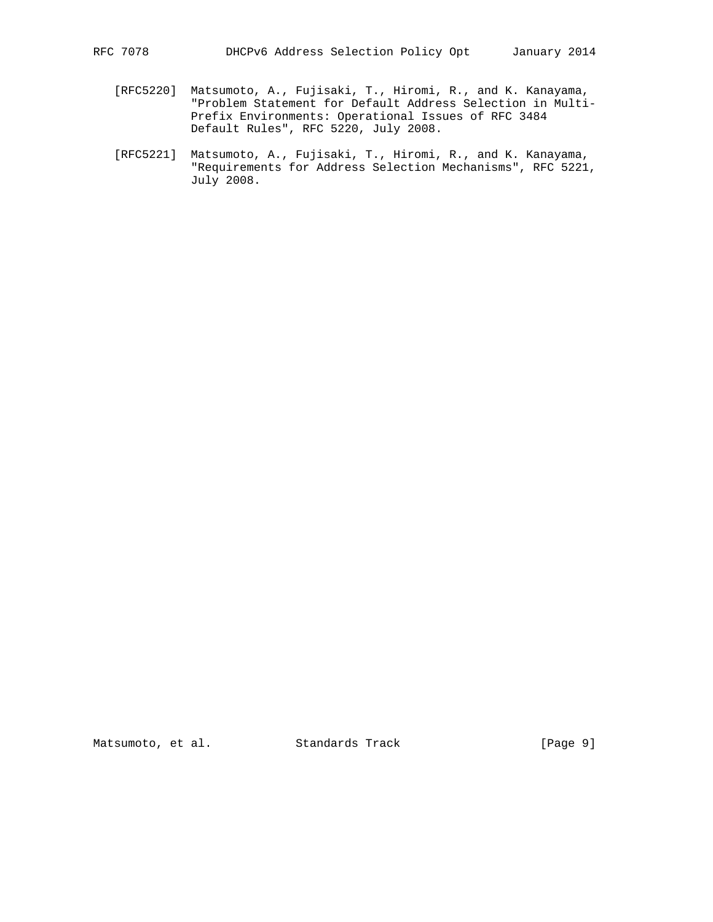- [RFC5220] Matsumoto, A., Fujisaki, T., Hiromi, R., and K. Kanayama, "Problem Statement for Default Address Selection in Multi- Prefix Environments: Operational Issues of RFC 3484 Default Rules", RFC 5220, July 2008.
- [RFC5221] Matsumoto, A., Fujisaki, T., Hiromi, R., and K. Kanayama, "Requirements for Address Selection Mechanisms", RFC 5221, July 2008.

Matsumoto, et al. Standards Track [Page 9]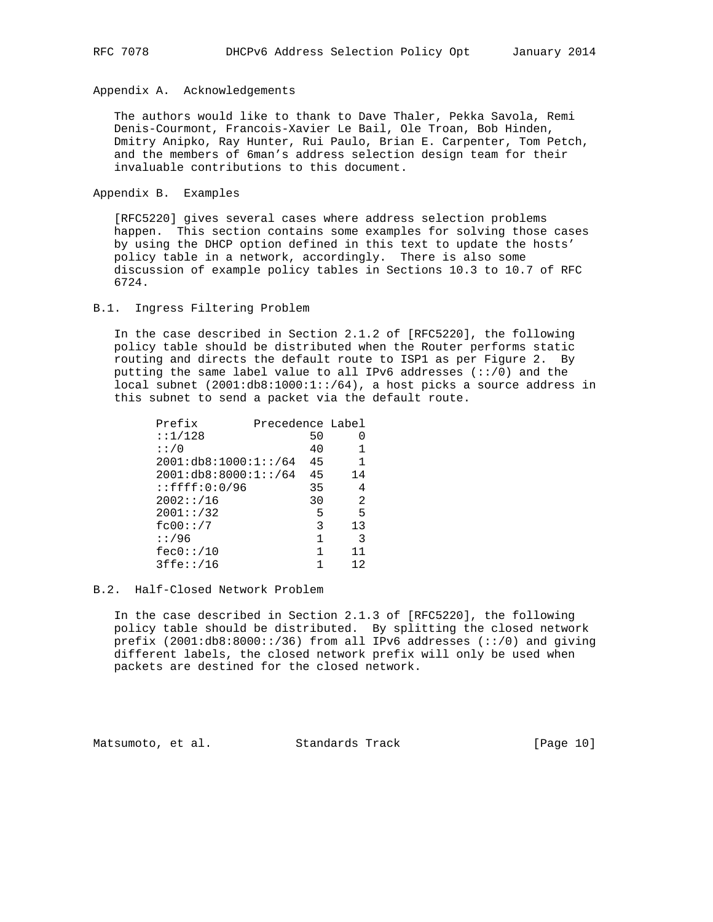Appendix A. Acknowledgements

 The authors would like to thank to Dave Thaler, Pekka Savola, Remi Denis-Courmont, Francois-Xavier Le Bail, Ole Troan, Bob Hinden, Dmitry Anipko, Ray Hunter, Rui Paulo, Brian E. Carpenter, Tom Petch, and the members of 6man's address selection design team for their invaluable contributions to this document.

Appendix B. Examples

 [RFC5220] gives several cases where address selection problems happen. This section contains some examples for solving those cases by using the DHCP option defined in this text to update the hosts' policy table in a network, accordingly. There is also some discussion of example policy tables in Sections 10.3 to 10.7 of RFC 6724.

### B.1. Ingress Filtering Problem

 In the case described in Section 2.1.2 of [RFC5220], the following policy table should be distributed when the Router performs static routing and directs the default route to ISP1 as per Figure 2. By putting the same label value to all IPv6 addresses  $(:://0)$  and the local subnet (2001:db8:1000:1::/64), a host picks a source address in this subnet to send a packet via the default route.

| Prefix                  | Precedence Label |    |          |
|-------------------------|------------------|----|----------|
| : 1/128                 |                  | 50 | $\Omega$ |
| : : / 0                 |                  | 40 |          |
| 2001:db8:1000:1::/64    |                  | 45 | 1        |
| 2001:db8:8000:1::/64    |                  | 45 | 14       |
| $: : \f{f}{f}: 0: 0/96$ |                  | 35 | 4        |
| 2002::/16               |                  | 30 | 2        |
| 2001::/32               |                  | 5  | 5        |
| fc00::/7                |                  | 3  | 13       |
| : 1/96                  |                  | 1  | 3        |
| fec0::/10               |                  | 1  | 11       |
| 3ffe::/16               |                  |    | 12       |
|                         |                  |    |          |

### B.2. Half-Closed Network Problem

 In the case described in Section 2.1.3 of [RFC5220], the following policy table should be distributed. By splitting the closed network prefix  $(2001:db8:8000::/36)$  from all IPv6 addresses  $(:://0")$  and giving different labels, the closed network prefix will only be used when packets are destined for the closed network.

Matsumoto, et al. Standards Track [Page 10]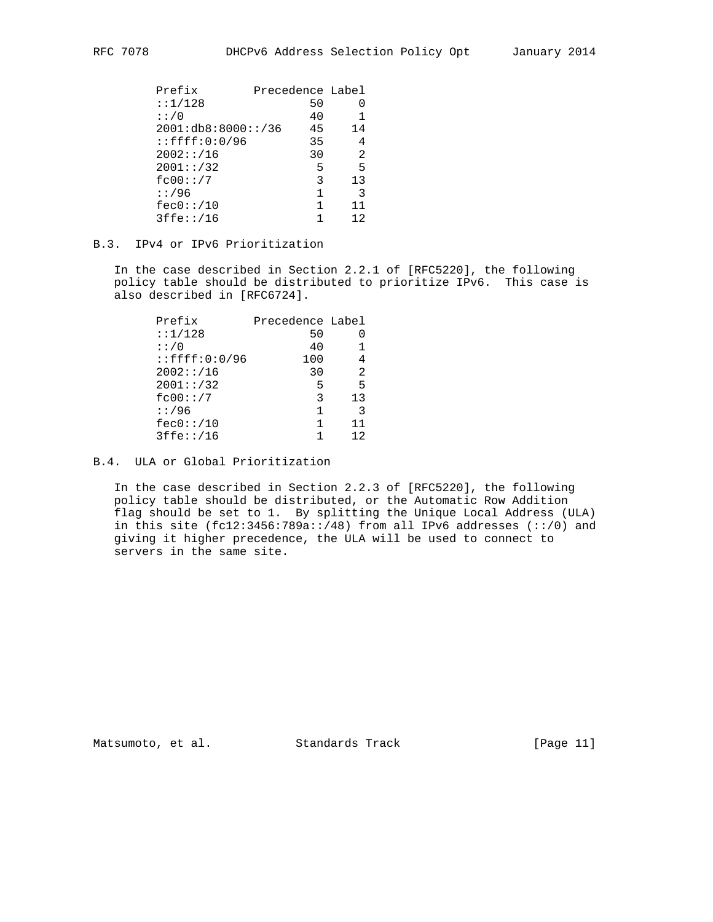| Prefix              |    | Precedence Label |
|---------------------|----|------------------|
| : : 1/128           | 50 |                  |
| : : / 0             | 40 |                  |
| 2001:db8:8000::/36  | 45 | 14               |
| $:$ : $ffff:0:0/96$ | 35 | 4                |
| 2002::/16           | 30 | 2                |
| 2001::/32           | 5  | 5                |
| fc00::/7            | 3  | 13               |
| : 1/96              |    | 3                |
| fec0::/10           | 1  | 11               |
| 3ffe::/16           |    | 12               |
|                     |    |                  |

## B.3. IPv4 or IPv6 Prioritization

 In the case described in Section 2.2.1 of [RFC5220], the following policy table should be distributed to prioritize IPv6. This case is also described in [RFC6724].

| Prefix              | Precedence Label |    |
|---------------------|------------------|----|
| : 1/128             | 50               |    |
| : : / 0             | 40               |    |
| $:$ : $ffff:0:0/96$ | 100              | 4  |
| 2002::/16           | 30               | 2  |
| 2001::/32           | 5                | 5  |
| fc00::/7            | 3                | 13 |
| : 1/96              | 1                | 3  |
| fec0::/10           | 1                | 11 |
| 3ffe::/16           |                  | 12 |

B.4. ULA or Global Prioritization

 In the case described in Section 2.2.3 of [RFC5220], the following policy table should be distributed, or the Automatic Row Addition flag should be set to 1. By splitting the Unique Local Address (ULA) in this site  $(fc12:3456:789a::/48)$  from all IPv6 addresses  $(:://0)$  and giving it higher precedence, the ULA will be used to connect to servers in the same site.

Matsumoto, et al. Standards Track [Page 11]